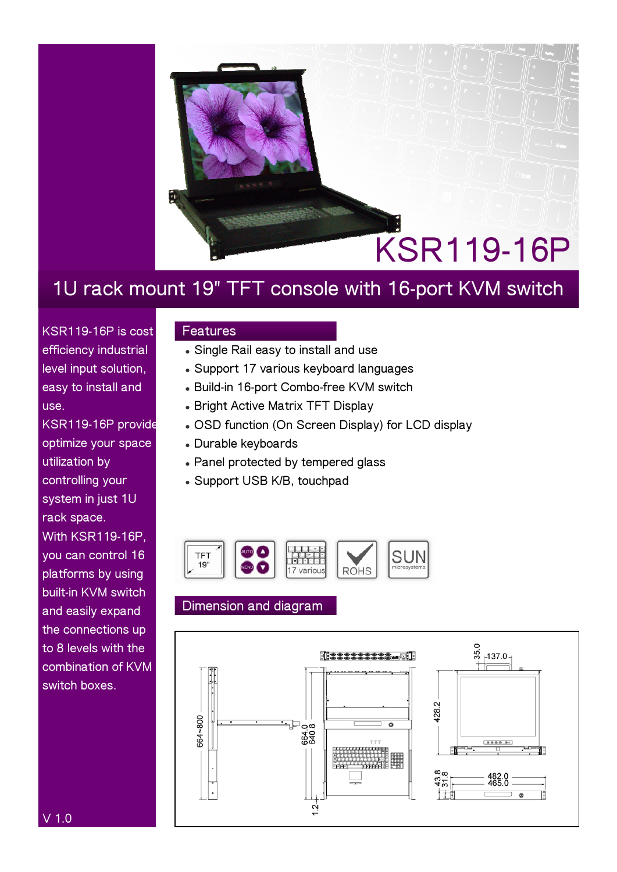

### **1U rack mount 19" TFT console with 16-port KVM switch**

**KSR119-16P is cost efficiency industrial level input solution, easy to install and use.** 

**KSR119-16P provide optimize your space utilization by controlling your system in just 1U rack space. With KSR119-16P, you can control 16 platforms by using built-in KVM switch and easily expand the connections up to 8 levels with the combination of KVM switch boxes.** 

#### **Features**

- $\bullet$  Single Rail easy to install and use
- **Support 17 various keyboard languages**
- <sup>z</sup> **Build-in 16-port Combo-free KVM switch**
- **Bright Active Matrix TFT Display**
- OSD function (On Screen Display) for LCD display
- <sup>z</sup> **Durable keyboards**
- **Panel protected by tempered glass**
- **Support USB K/B, touchpad**



#### **Dimension and diagram**